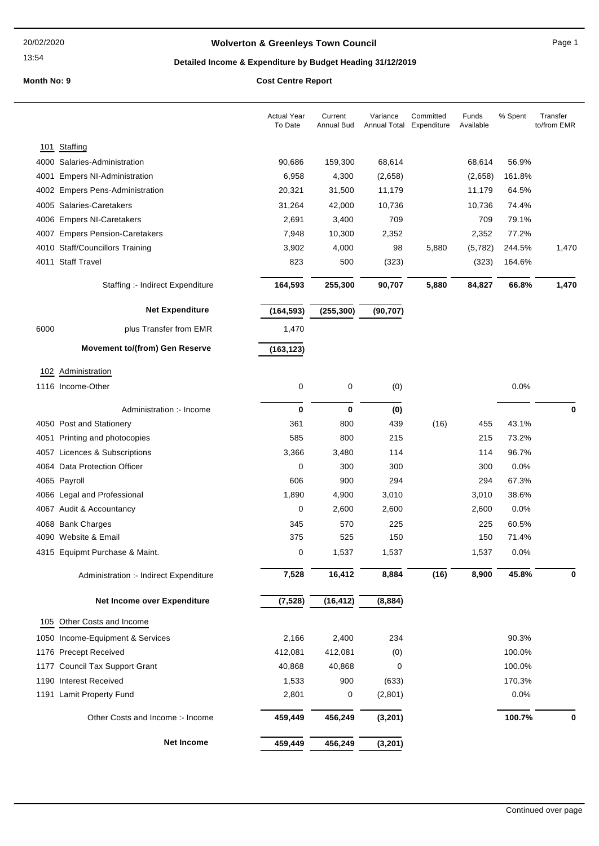## **Wolverton & Greenleys Town Council** Magnetic Page 1

## **Detailed Income & Expenditure by Budget Heading 31/12/2019**

|      |                                        | <b>Actual Year</b><br>To Date | Current<br><b>Annual Bud</b> | Variance<br>Annual Total | Committed<br>Expenditure | Funds<br>Available | % Spent | Transfer<br>to/from EMR |
|------|----------------------------------------|-------------------------------|------------------------------|--------------------------|--------------------------|--------------------|---------|-------------------------|
|      | 101 Staffing                           |                               |                              |                          |                          |                    |         |                         |
|      | 4000 Salaries-Administration           | 90,686                        | 159,300                      | 68,614                   |                          | 68,614             | 56.9%   |                         |
|      | 4001 Empers NI-Administration          | 6,958                         | 4,300                        | (2,658)                  |                          | (2,658)            | 161.8%  |                         |
|      | 4002 Empers Pens-Administration        | 20,321                        | 31,500                       | 11,179                   |                          | 11,179             | 64.5%   |                         |
|      | 4005 Salaries-Caretakers               | 31,264                        | 42,000                       | 10,736                   |                          | 10,736             | 74.4%   |                         |
|      | 4006 Empers NI-Caretakers              | 2,691                         | 3,400                        | 709                      |                          | 709                | 79.1%   |                         |
|      | 4007 Empers Pension-Caretakers         | 7,948                         | 10,300                       | 2,352                    |                          | 2,352              | 77.2%   |                         |
|      | 4010 Staff/Councillors Training        | 3,902                         | 4,000                        | 98                       | 5,880                    | (5,782)            | 244.5%  | 1,470                   |
|      | 4011 Staff Travel                      | 823                           | 500                          | (323)                    |                          | (323)              | 164.6%  |                         |
|      | Staffing :- Indirect Expenditure       | 164,593                       | 255,300                      | 90,707                   | 5,880                    | 84,827             | 66.8%   | 1,470                   |
|      | <b>Net Expenditure</b>                 | (164, 593)                    | (255, 300)                   | (90, 707)                |                          |                    |         |                         |
| 6000 | plus Transfer from EMR                 | 1,470                         |                              |                          |                          |                    |         |                         |
|      | <b>Movement to/(from) Gen Reserve</b>  | (163, 123)                    |                              |                          |                          |                    |         |                         |
|      | 102 Administration                     |                               |                              |                          |                          |                    |         |                         |
|      | 1116 Income-Other                      | 0                             | $\pmb{0}$                    | (0)                      |                          |                    | 0.0%    |                         |
|      | Administration :- Income               | 0                             | $\mathbf 0$                  | (0)                      |                          |                    |         | 0                       |
|      | 4050 Post and Stationery               | 361                           | 800                          | 439                      | (16)                     | 455                | 43.1%   |                         |
|      | 4051 Printing and photocopies          | 585                           | 800                          | 215                      |                          | 215                | 73.2%   |                         |
|      | 4057 Licences & Subscriptions          | 3,366                         | 3,480                        | 114                      |                          | 114                | 96.7%   |                         |
|      | 4064 Data Protection Officer           | 0                             | 300                          | 300                      |                          | 300                | 0.0%    |                         |
|      | 4065 Payroll                           | 606                           | 900                          | 294                      |                          | 294                | 67.3%   |                         |
|      | 4066 Legal and Professional            | 1,890                         | 4,900                        | 3,010                    |                          | 3,010              | 38.6%   |                         |
|      | 4067 Audit & Accountancy               | 0                             | 2,600                        | 2,600                    |                          | 2,600              | 0.0%    |                         |
|      | 4068 Bank Charges                      | 345                           | 570                          | 225                      |                          | 225                | 60.5%   |                         |
|      | 4090 Website & Email                   | 375                           | 525                          | 150                      |                          | 150                | 71.4%   |                         |
|      | 4315 Equipmt Purchase & Maint.         | 0                             | 1,537                        | 1,537                    |                          | 1,537              | 0.0%    |                         |
|      | Administration :- Indirect Expenditure | 7,528                         | 16,412                       | 8,884                    | (16)                     | 8,900              | 45.8%   | 0                       |
|      | Net Income over Expenditure            | (7, 528)                      | (16, 412)                    | (8,884)                  |                          |                    |         |                         |
|      | 105 Other Costs and Income             |                               |                              |                          |                          |                    |         |                         |
|      | 1050 Income-Equipment & Services       | 2,166                         | 2,400                        | 234                      |                          |                    | 90.3%   |                         |
|      | 1176 Precept Received                  | 412,081                       | 412,081                      | (0)                      |                          |                    | 100.0%  |                         |
|      | 1177 Council Tax Support Grant         | 40,868                        | 40,868                       | 0                        |                          |                    | 100.0%  |                         |
|      | 1190 Interest Received                 | 1,533                         | 900                          | (633)                    |                          |                    | 170.3%  |                         |
|      | 1191 Lamit Property Fund               | 2,801                         | 0                            | (2,801)                  |                          |                    | 0.0%    |                         |
|      | Other Costs and Income :- Income       | 459,449                       | 456,249                      | (3, 201)                 |                          |                    | 100.7%  | 0                       |
|      | <b>Net Income</b>                      | 459,449                       | 456,249                      | (3, 201)                 |                          |                    |         |                         |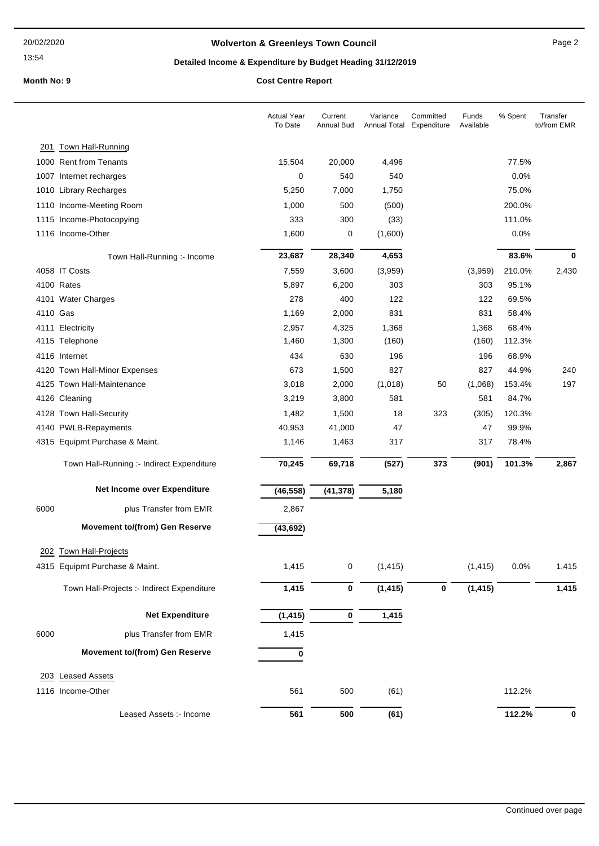## **Wolverton & Greenleys Town Council** Manual Page 2

## **Detailed Income & Expenditure by Budget Heading 31/12/2019**

|          |                                            | <b>Actual Year</b><br>To Date | Current<br><b>Annual Bud</b> | Variance<br>Annual Total | Committed<br>Expenditure | Funds<br>Available | % Spent | Transfer<br>to/from EMR |
|----------|--------------------------------------------|-------------------------------|------------------------------|--------------------------|--------------------------|--------------------|---------|-------------------------|
| 201      | Town Hall-Running                          |                               |                              |                          |                          |                    |         |                         |
|          | 1000 Rent from Tenants                     | 15,504                        | 20,000                       | 4,496                    |                          |                    | 77.5%   |                         |
|          | 1007 Internet recharges                    | 0                             | 540                          | 540                      |                          |                    | 0.0%    |                         |
|          | 1010 Library Recharges                     | 5,250                         | 7,000                        | 1,750                    |                          |                    | 75.0%   |                         |
|          | 1110 Income-Meeting Room                   | 1,000                         | 500                          | (500)                    |                          |                    | 200.0%  |                         |
|          | 1115 Income-Photocopying                   | 333                           | 300                          | (33)                     |                          |                    | 111.0%  |                         |
|          | 1116 Income-Other                          | 1,600                         | 0                            | (1,600)                  |                          |                    | 0.0%    |                         |
|          | Town Hall-Running :- Income                | 23,687                        | 28,340                       | 4,653                    |                          |                    | 83.6%   | 0                       |
|          | 4058 IT Costs                              | 7,559                         | 3,600                        | (3,959)                  |                          | (3,959)            | 210.0%  | 2,430                   |
|          | 4100 Rates                                 | 5,897                         | 6,200                        | 303                      |                          | 303                | 95.1%   |                         |
|          | 4101 Water Charges                         | 278                           | 400                          | 122                      |                          | 122                | 69.5%   |                         |
| 4110 Gas |                                            | 1,169                         | 2,000                        | 831                      |                          | 831                | 58.4%   |                         |
|          | 4111 Electricity                           | 2,957                         | 4,325                        | 1,368                    |                          | 1,368              | 68.4%   |                         |
|          | 4115 Telephone                             | 1,460                         | 1,300                        | (160)                    |                          | (160)              | 112.3%  |                         |
|          | 4116 Internet                              | 434                           | 630                          | 196                      |                          | 196                | 68.9%   |                         |
|          | 4120 Town Hall-Minor Expenses              | 673                           | 1,500                        | 827                      |                          | 827                | 44.9%   | 240                     |
|          | 4125 Town Hall-Maintenance                 | 3,018                         | 2,000                        | (1,018)                  | 50                       | (1,068)            | 153.4%  | 197                     |
|          | 4126 Cleaning                              | 3,219                         | 3,800                        | 581                      |                          | 581                | 84.7%   |                         |
|          | 4128 Town Hall-Security                    | 1,482                         | 1,500                        | 18                       | 323                      | (305)              | 120.3%  |                         |
|          | 4140 PWLB-Repayments                       | 40,953                        | 41,000                       | 47                       |                          | 47                 | 99.9%   |                         |
|          | 4315 Equipmt Purchase & Maint.             | 1,146                         | 1,463                        | 317                      |                          | 317                | 78.4%   |                         |
|          | Town Hall-Running :- Indirect Expenditure  | 70,245                        | 69,718                       | (527)                    | 373                      | (901)              | 101.3%  | 2,867                   |
|          | Net Income over Expenditure                | (46, 558)                     | (41, 378)                    | 5,180                    |                          |                    |         |                         |
| 6000     | plus Transfer from EMR                     | 2,867                         |                              |                          |                          |                    |         |                         |
|          | <b>Movement to/(from) Gen Reserve</b>      | (43, 692)                     |                              |                          |                          |                    |         |                         |
|          | 202 Town Hall-Projects                     |                               |                              |                          |                          |                    |         |                         |
|          |                                            |                               |                              |                          |                          |                    |         |                         |
|          | 4315 Equipmt Purchase & Maint.             | 1,415                         | $\pmb{0}$                    | (1, 415)                 |                          | (1, 415)           | 0.0%    | 1,415                   |
|          | Town Hall-Projects :- Indirect Expenditure | 1,415                         | $\pmb{0}$                    | (1, 415)                 | 0                        | (1, 415)           |         | 1,415                   |
|          | <b>Net Expenditure</b>                     | (1, 415)                      | $\mathbf 0$                  | 1,415                    |                          |                    |         |                         |
| 6000     | plus Transfer from EMR                     | 1,415                         |                              |                          |                          |                    |         |                         |
|          | <b>Movement to/(from) Gen Reserve</b>      | 0                             |                              |                          |                          |                    |         |                         |
|          | 203 Leased Assets                          |                               |                              |                          |                          |                    |         |                         |
|          | 1116 Income-Other                          | 561                           | 500                          | (61)                     |                          |                    | 112.2%  |                         |
|          |                                            |                               |                              |                          |                          |                    |         |                         |
|          | Leased Assets :- Income                    | 561                           | 500                          | (61)                     |                          |                    | 112.2%  | 0                       |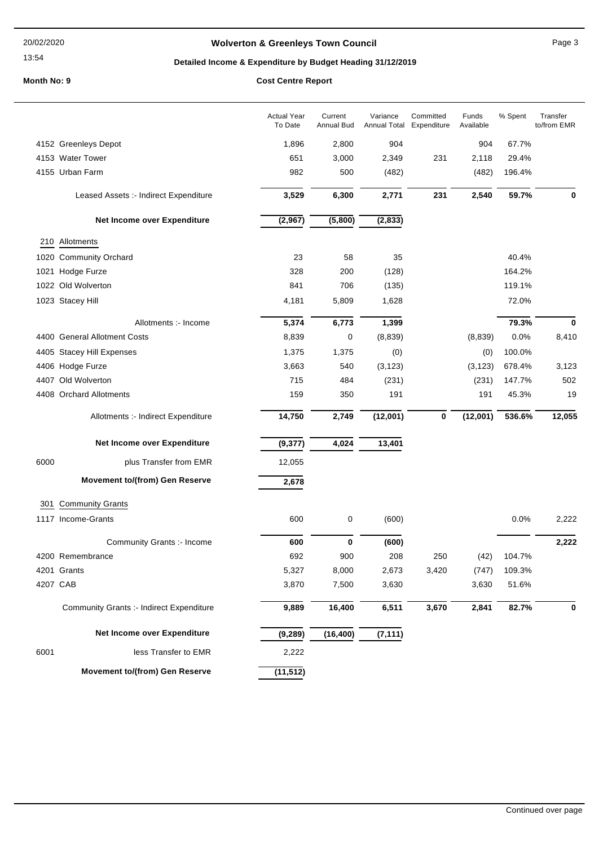## **Wolverton & Greenleys Town Council** Manual Page 3

## **Detailed Income & Expenditure by Budget Heading 31/12/2019**

|      |                                                 | <b>Actual Year</b><br>To Date | Current<br>Annual Bud | Variance<br>Annual Total | Committed<br>Expenditure | Funds<br>Available | % Spent | Transfer<br>to/from EMR |
|------|-------------------------------------------------|-------------------------------|-----------------------|--------------------------|--------------------------|--------------------|---------|-------------------------|
|      | 4152 Greenleys Depot                            | 1,896                         | 2,800                 | 904                      |                          | 904                | 67.7%   |                         |
|      | 4153 Water Tower                                | 651                           | 3,000                 | 2,349                    | 231                      | 2,118              | 29.4%   |                         |
|      | 4155 Urban Farm                                 | 982                           | 500                   | (482)                    |                          | (482)              | 196.4%  |                         |
|      | Leased Assets :- Indirect Expenditure           | 3,529                         | 6,300                 | 2,771                    | 231                      | 2,540              | 59.7%   | $\bf{0}$                |
|      | Net Income over Expenditure                     | (2,967)                       | (5,800)               | (2, 833)                 |                          |                    |         |                         |
|      | 210 Allotments                                  |                               |                       |                          |                          |                    |         |                         |
|      | 1020 Community Orchard                          | 23                            | 58                    | 35                       |                          |                    | 40.4%   |                         |
|      | 1021 Hodge Furze                                | 328                           | 200                   | (128)                    |                          |                    | 164.2%  |                         |
|      | 1022 Old Wolverton                              | 841                           | 706                   | (135)                    |                          |                    | 119.1%  |                         |
|      | 1023 Stacey Hill                                | 4,181                         | 5,809                 | 1,628                    |                          |                    | 72.0%   |                         |
|      | Allotments :- Income                            | 5,374                         | 6,773                 | 1,399                    |                          |                    | 79.3%   | $\mathbf 0$             |
|      | 4400 General Allotment Costs                    | 8,839                         | 0                     | (8,839)                  |                          | (8,839)            | 0.0%    | 8,410                   |
|      | 4405 Stacey Hill Expenses                       | 1,375                         | 1,375                 | (0)                      |                          | (0)                | 100.0%  |                         |
|      | 4406 Hodge Furze                                | 3,663                         | 540                   | (3, 123)                 |                          | (3, 123)           | 678.4%  | 3,123                   |
|      | 4407 Old Wolverton                              | 715                           | 484                   | (231)                    |                          | (231)              | 147.7%  | 502                     |
|      | 4408 Orchard Allotments                         | 159                           | 350                   | 191                      |                          | 191                | 45.3%   | 19                      |
|      | Allotments :- Indirect Expenditure              | 14,750                        | 2,749                 | (12,001)                 | 0                        | (12,001)           | 536.6%  | 12,055                  |
|      | Net Income over Expenditure                     | (9, 377)                      | 4,024                 | 13,401                   |                          |                    |         |                         |
| 6000 | plus Transfer from EMR                          | 12,055                        |                       |                          |                          |                    |         |                         |
|      | <b>Movement to/(from) Gen Reserve</b>           | 2,678                         |                       |                          |                          |                    |         |                         |
|      | 301 Community Grants                            |                               |                       |                          |                          |                    |         |                         |
|      | 1117 Income-Grants                              | 600                           | 0                     | (600)                    |                          |                    | 0.0%    | 2,222                   |
|      | Community Grants :- Income                      | 600                           | $\bf{0}$              | (600)                    |                          |                    |         | 2,222                   |
|      | 4200 Remembrance                                | 692                           | 900                   | 208                      | 250                      | (42)               | 104.7%  |                         |
|      | 4201 Grants                                     | 5,327                         | 8,000                 | 2,673                    | 3,420                    | (747)              | 109.3%  |                         |
|      | 4207 CAB                                        | 3,870                         | 7,500                 | 3,630                    |                          | 3,630              | 51.6%   |                         |
|      | <b>Community Grants :- Indirect Expenditure</b> | 9,889                         | 16,400                | 6,511                    | 3,670                    | 2,841              | 82.7%   | 0                       |
|      | Net Income over Expenditure                     | (9, 289)                      | (16, 400)             | (7, 111)                 |                          |                    |         |                         |
| 6001 | less Transfer to EMR                            | 2,222                         |                       |                          |                          |                    |         |                         |
|      | Movement to/(from) Gen Reserve                  | (11, 512)                     |                       |                          |                          |                    |         |                         |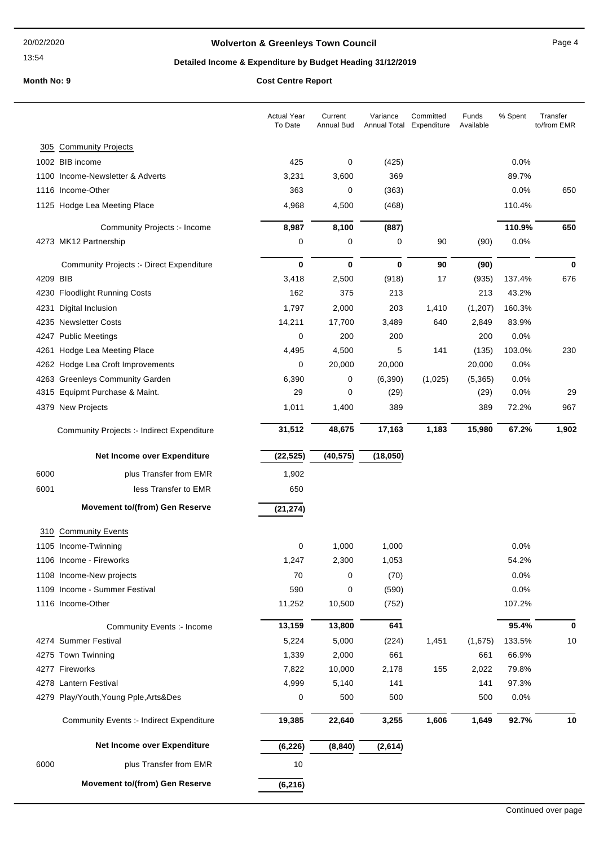## **Wolverton & Greenleys Town Council Contract Contract Contract Page 4**

## **Detailed Income & Expenditure by Budget Heading 31/12/2019**

|          |                                                   | <b>Actual Year</b><br>To Date | Current<br>Annual Bud | Variance<br>Annual Total | Committed<br>Expenditure | Funds<br>Available | % Spent | Transfer<br>to/from EMR |
|----------|---------------------------------------------------|-------------------------------|-----------------------|--------------------------|--------------------------|--------------------|---------|-------------------------|
| 305      | <b>Community Projects</b>                         |                               |                       |                          |                          |                    |         |                         |
|          | 1002 BIB income                                   | 425                           | 0                     | (425)                    |                          |                    | 0.0%    |                         |
|          | 1100 Income-Newsletter & Adverts                  | 3,231                         | 3,600                 | 369                      |                          |                    | 89.7%   |                         |
|          | 1116 Income-Other                                 | 363                           | 0                     | (363)                    |                          |                    | 0.0%    | 650                     |
|          | 1125 Hodge Lea Meeting Place                      | 4,968                         | 4,500                 | (468)                    |                          |                    | 110.4%  |                         |
|          | Community Projects :- Income                      | 8,987                         | 8,100                 | (887)                    |                          |                    | 110.9%  | 650                     |
|          | 4273 MK12 Partnership                             | 0                             | 0                     | 0                        | 90                       | (90)               | 0.0%    |                         |
|          | <b>Community Projects :- Direct Expenditure</b>   | 0                             | $\mathbf 0$           | 0                        | 90                       | (90)               |         | 0                       |
| 4209 BIB |                                                   | 3,418                         | 2,500                 | (918)                    | 17                       | (935)              | 137.4%  | 676                     |
|          | 4230 Floodlight Running Costs                     | 162                           | 375                   | 213                      |                          | 213                | 43.2%   |                         |
| 4231     | Digital Inclusion                                 | 1,797                         | 2,000                 | 203                      | 1,410                    | (1, 207)           | 160.3%  |                         |
|          | 4235 Newsletter Costs                             | 14,211                        | 17,700                | 3,489                    | 640                      | 2,849              | 83.9%   |                         |
|          | 4247 Public Meetings                              | 0                             | 200                   | 200                      |                          | 200                | 0.0%    |                         |
|          | 4261 Hodge Lea Meeting Place                      | 4,495                         | 4,500                 | 5                        | 141                      | (135)              | 103.0%  | 230                     |
|          | 4262 Hodge Lea Croft Improvements                 | 0                             | 20,000                | 20,000                   |                          | 20,000             | 0.0%    |                         |
|          | 4263 Greenleys Community Garden                   | 6,390                         | 0                     | (6, 390)                 | (1,025)                  | (5,365)            | 0.0%    |                         |
|          | 4315 Equipmt Purchase & Maint.                    | 29                            | 0                     | (29)                     |                          | (29)               | 0.0%    | 29                      |
|          | 4379 New Projects                                 | 1,011                         | 1,400                 | 389                      |                          | 389                | 72.2%   | 967                     |
|          | <b>Community Projects :- Indirect Expenditure</b> | 31,512                        | 48,675                | 17,163                   | 1,183                    | 15,980             | 67.2%   | 1,902                   |
|          | Net Income over Expenditure                       | (22, 525)                     | (40, 575)             | (18,050)                 |                          |                    |         |                         |
| 6000     | plus Transfer from EMR                            | 1,902                         |                       |                          |                          |                    |         |                         |
| 6001     | less Transfer to EMR                              | 650                           |                       |                          |                          |                    |         |                         |
|          | <b>Movement to/(from) Gen Reserve</b>             | (21, 274)                     |                       |                          |                          |                    |         |                         |
|          | 310 Community Events                              |                               |                       |                          |                          |                    |         |                         |
|          | 1105 Income-Twinning                              | 0                             | 1,000                 | 1,000                    |                          |                    | 0.0%    |                         |
|          | 1106 Income - Fireworks                           | 1,247                         | 2,300                 | 1,053                    |                          |                    | 54.2%   |                         |
|          | 1108 Income-New projects                          | 70                            | 0                     | (70)                     |                          |                    | 0.0%    |                         |
|          | 1109 Income - Summer Festival                     | 590                           | 0                     | (590)                    |                          |                    | 0.0%    |                         |
|          | 1116 Income-Other                                 | 11,252                        | 10,500                | (752)                    |                          |                    | 107.2%  |                         |
|          | Community Events :- Income                        | 13,159                        | 13,800                | 641                      |                          |                    | 95.4%   | 0                       |
|          | 4274 Summer Festival                              | 5,224                         | 5,000                 | (224)                    | 1,451                    | (1,675)            | 133.5%  | 10                      |
|          | 4275 Town Twinning                                | 1,339                         | 2,000                 | 661                      |                          | 661                | 66.9%   |                         |
|          | 4277 Fireworks                                    | 7,822                         | 10,000                | 2,178                    | 155                      | 2,022              | 79.8%   |                         |
|          | 4278 Lantern Festival                             | 4,999                         | 5,140                 | 141                      |                          | 141                | 97.3%   |                         |
|          | 4279 Play/Youth, Young Pple, Arts&Des             | 0                             | 500                   | 500                      |                          | 500                | 0.0%    |                         |
|          | <b>Community Events :- Indirect Expenditure</b>   | 19,385                        | 22,640                | 3,255                    | 1,606                    | 1,649              | 92.7%   | 10                      |
|          | Net Income over Expenditure                       | (6, 226)                      | (8, 840)              | (2,614)                  |                          |                    |         |                         |
| 6000     | plus Transfer from EMR                            | 10                            |                       |                          |                          |                    |         |                         |
|          | <b>Movement to/(from) Gen Reserve</b>             | (6, 216)                      |                       |                          |                          |                    |         |                         |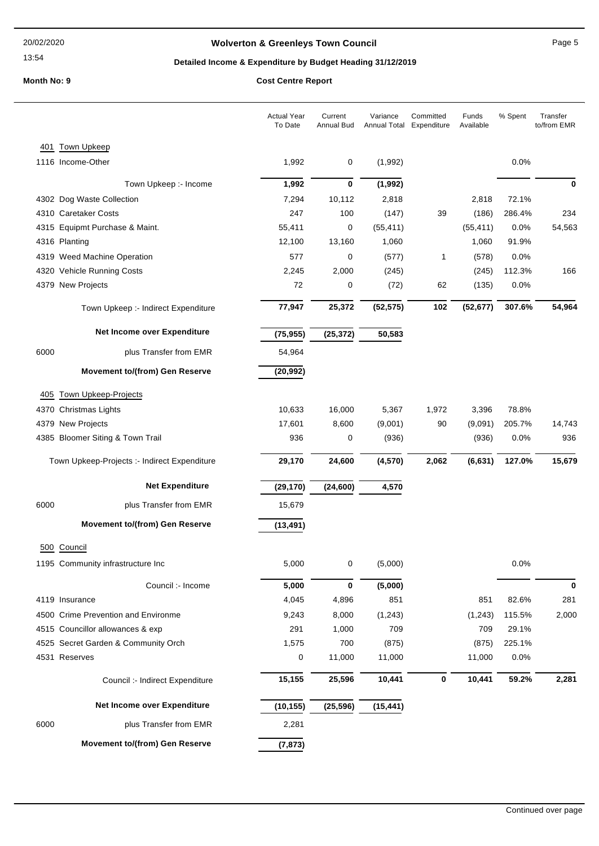## **Wolverton & Greenleys Town Council Page 5** Page 5

## **Detailed Income & Expenditure by Budget Heading 31/12/2019**

| <b>Town Upkeep</b><br>401<br>1116 Income-Other<br>1,992<br>0.0%<br>0<br>(1,992)<br>1,992<br>$\bf{0}$<br>Town Upkeep :- Income<br>(1,992)<br>72.1%<br>7,294<br>10,112<br>2,818<br>2,818<br>4302 Dog Waste Collection<br>4310 Caretaker Costs<br>247<br>100<br>(147)<br>39<br>(186)<br>286.4%<br>4315 Equipmt Purchase & Maint.<br>55,411<br>0<br>(55, 411)<br>(55, 411)<br>0.0% | $\bf{0}$<br>234 |
|--------------------------------------------------------------------------------------------------------------------------------------------------------------------------------------------------------------------------------------------------------------------------------------------------------------------------------------------------------------------------------|-----------------|
|                                                                                                                                                                                                                                                                                                                                                                                |                 |
|                                                                                                                                                                                                                                                                                                                                                                                |                 |
|                                                                                                                                                                                                                                                                                                                                                                                |                 |
|                                                                                                                                                                                                                                                                                                                                                                                |                 |
|                                                                                                                                                                                                                                                                                                                                                                                |                 |
|                                                                                                                                                                                                                                                                                                                                                                                |                 |
| 4316 Planting<br>12,100<br>1,060<br>1,060<br>91.9%<br>13,160                                                                                                                                                                                                                                                                                                                   | 54,563          |
| 577<br>4319 Weed Machine Operation<br>0<br>(577)<br>$\mathbf{1}$<br>(578)<br>0.0%                                                                                                                                                                                                                                                                                              |                 |
| 4320 Vehicle Running Costs<br>2,245<br>2,000<br>(245)<br>(245)<br>112.3%                                                                                                                                                                                                                                                                                                       | 166             |
| 4379 New Projects<br>72<br>0<br>(72)<br>62<br>0.0%<br>(135)                                                                                                                                                                                                                                                                                                                    |                 |
|                                                                                                                                                                                                                                                                                                                                                                                |                 |
| 77,947<br>25,372<br>(52, 575)<br>102<br>307.6%<br>(52, 677)<br>Town Upkeep :- Indirect Expenditure                                                                                                                                                                                                                                                                             | 54,964          |
| Net Income over Expenditure<br>(75, 955)<br>(25, 372)<br>50,583                                                                                                                                                                                                                                                                                                                |                 |
| 6000<br>plus Transfer from EMR<br>54,964                                                                                                                                                                                                                                                                                                                                       |                 |
| <b>Movement to/(from) Gen Reserve</b><br>(20, 992)                                                                                                                                                                                                                                                                                                                             |                 |
| Town Upkeep-Projects<br>405                                                                                                                                                                                                                                                                                                                                                    |                 |
| 10,633<br>4370 Christmas Lights<br>16,000<br>5,367<br>1,972<br>3,396<br>78.8%                                                                                                                                                                                                                                                                                                  |                 |
| 4379 New Projects<br>17,601<br>(9,001)<br>205.7%<br>8,600<br>90<br>(9,091)                                                                                                                                                                                                                                                                                                     | 14,743          |
| 4385 Bloomer Siting & Town Trail<br>936<br>0<br>(936)<br>(936)<br>0.0%                                                                                                                                                                                                                                                                                                         | 936             |
| 29,170<br>24,600<br>(4, 570)<br>2,062<br>127.0%<br>Town Upkeep-Projects :- Indirect Expenditure<br>(6, 631)                                                                                                                                                                                                                                                                    | 15,679          |
| <b>Net Expenditure</b><br>(29, 170)<br>(24, 600)<br>4,570                                                                                                                                                                                                                                                                                                                      |                 |
| 6000<br>plus Transfer from EMR<br>15,679                                                                                                                                                                                                                                                                                                                                       |                 |
| <b>Movement to/(from) Gen Reserve</b><br>(13, 491)                                                                                                                                                                                                                                                                                                                             |                 |
| 500 Council                                                                                                                                                                                                                                                                                                                                                                    |                 |
| 1195 Community infrastructure Inc<br>5,000<br>0<br>(5,000)<br>$0.0\%$                                                                                                                                                                                                                                                                                                          |                 |
| 5,000<br>$\bf{0}$<br>(5,000)<br>Council :- Income                                                                                                                                                                                                                                                                                                                              | $\bf{0}$        |
| 851<br>851<br>82.6%<br>4119 Insurance<br>4,045<br>4,896                                                                                                                                                                                                                                                                                                                        | 281             |
| 4500 Crime Prevention and Environme<br>9,243<br>8,000<br>(1, 243)<br>(1, 243)<br>115.5%                                                                                                                                                                                                                                                                                        | 2,000           |
| 4515 Councillor allowances & exp<br>291<br>1,000<br>709<br>709<br>29.1%                                                                                                                                                                                                                                                                                                        |                 |
| 1,575<br>225.1%<br>4525 Secret Garden & Community Orch<br>700<br>(875)<br>(875)                                                                                                                                                                                                                                                                                                |                 |
| 4531 Reserves<br>0<br>11,000<br>11,000<br>11,000<br>0.0%                                                                                                                                                                                                                                                                                                                       |                 |
| 15,155<br>25,596<br>10,441<br>10,441<br>59.2%<br>0<br>Council :- Indirect Expenditure                                                                                                                                                                                                                                                                                          | 2,281           |
| Net Income over Expenditure<br>(10, 155)<br>(25, 596)<br>(15, 441)                                                                                                                                                                                                                                                                                                             |                 |
| 6000<br>plus Transfer from EMR<br>2,281                                                                                                                                                                                                                                                                                                                                        |                 |
| <b>Movement to/(from) Gen Reserve</b><br>(7, 873)                                                                                                                                                                                                                                                                                                                              |                 |